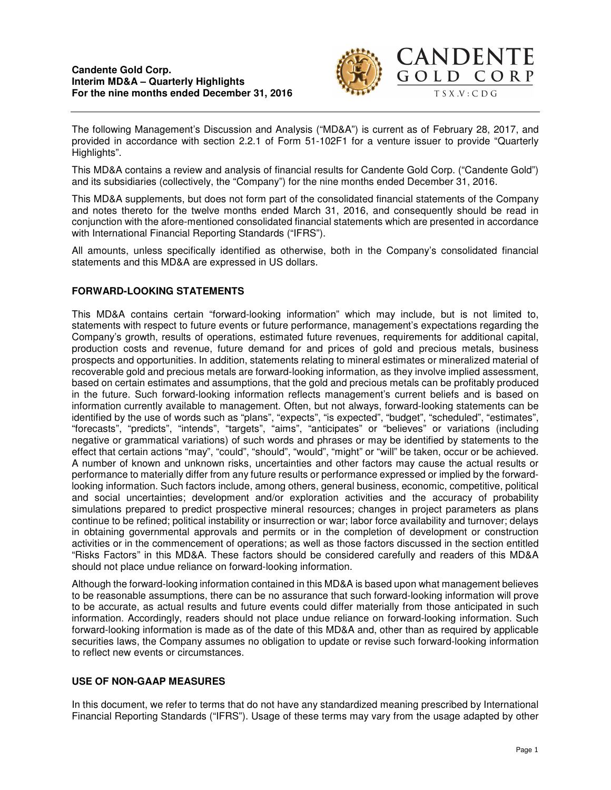

The following Management's Discussion and Analysis ("MD&A") is current as of February 28, 2017, and provided in accordance with section 2.2.1 of Form 51-102F1 for a venture issuer to provide "Quarterly Highlights".

This MD&A contains a review and analysis of financial results for Candente Gold Corp. ("Candente Gold") and its subsidiaries (collectively, the "Company") for the nine months ended December 31, 2016.

This MD&A supplements, but does not form part of the consolidated financial statements of the Company and notes thereto for the twelve months ended March 31, 2016, and consequently should be read in conjunction with the afore-mentioned consolidated financial statements which are presented in accordance with International Financial Reporting Standards ("IFRS").

All amounts, unless specifically identified as otherwise, both in the Company's consolidated financial statements and this MD&A are expressed in US dollars.

# **FORWARD-LOOKING STATEMENTS**

This MD&A contains certain "forward-looking information" which may include, but is not limited to, statements with respect to future events or future performance, management's expectations regarding the Company's growth, results of operations, estimated future revenues, requirements for additional capital, production costs and revenue, future demand for and prices of gold and precious metals, business prospects and opportunities. In addition, statements relating to mineral estimates or mineralized material of recoverable gold and precious metals are forward-looking information, as they involve implied assessment, based on certain estimates and assumptions, that the gold and precious metals can be profitably produced in the future. Such forward-looking information reflects management's current beliefs and is based on information currently available to management. Often, but not always, forward-looking statements can be identified by the use of words such as "plans", "expects", "is expected", "budget", "scheduled", "estimates", "forecasts", "predicts", "intends", "targets", "aims", "anticipates" or "believes" or variations (including negative or grammatical variations) of such words and phrases or may be identified by statements to the effect that certain actions "may", "could", "should", "would", "might" or "will" be taken, occur or be achieved. A number of known and unknown risks, uncertainties and other factors may cause the actual results or performance to materially differ from any future results or performance expressed or implied by the forwardlooking information. Such factors include, among others, general business, economic, competitive, political and social uncertainties; development and/or exploration activities and the accuracy of probability simulations prepared to predict prospective mineral resources; changes in project parameters as plans continue to be refined; political instability or insurrection or war; labor force availability and turnover; delays in obtaining governmental approvals and permits or in the completion of development or construction activities or in the commencement of operations; as well as those factors discussed in the section entitled "Risks Factors" in this MD&A. These factors should be considered carefully and readers of this MD&A should not place undue reliance on forward-looking information.

Although the forward-looking information contained in this MD&A is based upon what management believes to be reasonable assumptions, there can be no assurance that such forward-looking information will prove to be accurate, as actual results and future events could differ materially from those anticipated in such information. Accordingly, readers should not place undue reliance on forward-looking information. Such forward-looking information is made as of the date of this MD&A and, other than as required by applicable securities laws, the Company assumes no obligation to update or revise such forward-looking information to reflect new events or circumstances.

# **USE OF NON-GAAP MEASURES**

In this document, we refer to terms that do not have any standardized meaning prescribed by International Financial Reporting Standards ("IFRS"). Usage of these terms may vary from the usage adapted by other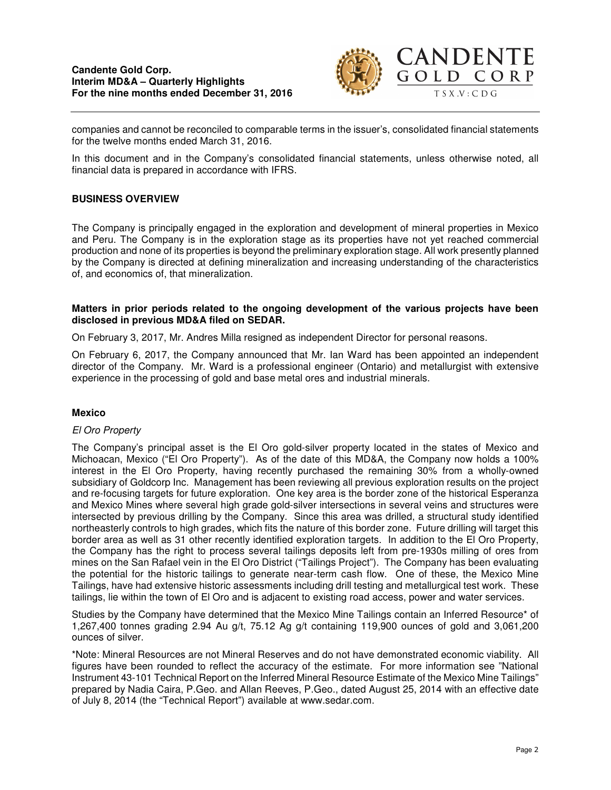

companies and cannot be reconciled to comparable terms in the issuer's, consolidated financial statements for the twelve months ended March 31, 2016.

In this document and in the Company's consolidated financial statements, unless otherwise noted, all financial data is prepared in accordance with IFRS.

### **BUSINESS OVERVIEW**

The Company is principally engaged in the exploration and development of mineral properties in Mexico and Peru. The Company is in the exploration stage as its properties have not yet reached commercial production and none of its properties is beyond the preliminary exploration stage. All work presently planned by the Company is directed at defining mineralization and increasing understanding of the characteristics of, and economics of, that mineralization.

### **Matters in prior periods related to the ongoing development of the various projects have been disclosed in previous MD&A filed on SEDAR.**

On February 3, 2017, Mr. Andres Milla resigned as independent Director for personal reasons.

On February 6, 2017, the Company announced that Mr. Ian Ward has been appointed an independent director of the Company. Mr. Ward is a professional engineer (Ontario) and metallurgist with extensive experience in the processing of gold and base metal ores and industrial minerals.

### **Mexico**

### El Oro Property

The Company's principal asset is the El Oro gold-silver property located in the states of Mexico and Michoacan, Mexico ("El Oro Property"). As of the date of this MD&A, the Company now holds a 100% interest in the El Oro Property, having recently purchased the remaining 30% from a wholly-owned subsidiary of Goldcorp Inc. Management has been reviewing all previous exploration results on the project and re-focusing targets for future exploration. One key area is the border zone of the historical Esperanza and Mexico Mines where several high grade gold-silver intersections in several veins and structures were intersected by previous drilling by the Company. Since this area was drilled, a structural study identified northeasterly controls to high grades, which fits the nature of this border zone. Future drilling will target this border area as well as 31 other recently identified exploration targets. In addition to the El Oro Property, the Company has the right to process several tailings deposits left from pre-1930s milling of ores from mines on the San Rafael vein in the El Oro District ("Tailings Project"). The Company has been evaluating the potential for the historic tailings to generate near-term cash flow. One of these, the Mexico Mine Tailings, have had extensive historic assessments including drill testing and metallurgical test work. These tailings, lie within the town of El Oro and is adjacent to existing road access, power and water services.

Studies by the Company have determined that the Mexico Mine Tailings contain an Inferred Resource\* of 1,267,400 tonnes grading 2.94 Au g/t, 75.12 Ag g/t containing 119,900 ounces of gold and 3,061,200 ounces of silver.

\*Note: Mineral Resources are not Mineral Reserves and do not have demonstrated economic viability. All figures have been rounded to reflect the accuracy of the estimate. For more information see "National Instrument 43-101 Technical Report on the Inferred Mineral Resource Estimate of the Mexico Mine Tailings" prepared by Nadia Caira, P.Geo. and Allan Reeves, P.Geo., dated August 25, 2014 with an effective date of July 8, 2014 (the "Technical Report") available at www.sedar.com.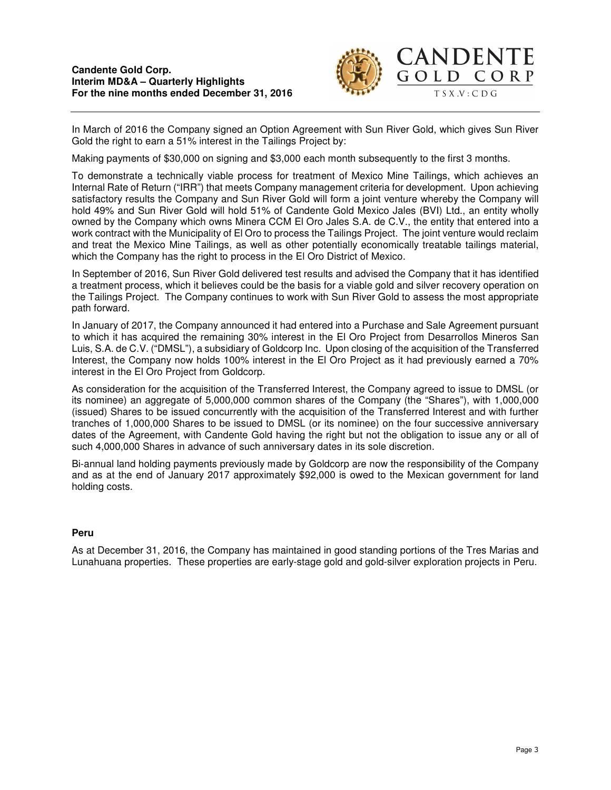

In March of 2016 the Company signed an Option Agreement with Sun River Gold, which gives Sun River Gold the right to earn a 51% interest in the Tailings Project by:

Making payments of \$30,000 on signing and \$3,000 each month subsequently to the first 3 months.

To demonstrate a technically viable process for treatment of Mexico Mine Tailings, which achieves an Internal Rate of Return ("IRR") that meets Company management criteria for development. Upon achieving satisfactory results the Company and Sun River Gold will form a joint venture whereby the Company will hold 49% and Sun River Gold will hold 51% of Candente Gold Mexico Jales (BVI) Ltd., an entity wholly owned by the Company which owns Minera CCM El Oro Jales S.A. de C.V., the entity that entered into a work contract with the Municipality of El Oro to process the Tailings Project. The joint venture would reclaim and treat the Mexico Mine Tailings, as well as other potentially economically treatable tailings material, which the Company has the right to process in the El Oro District of Mexico.

In September of 2016, Sun River Gold delivered test results and advised the Company that it has identified a treatment process, which it believes could be the basis for a viable gold and silver recovery operation on the Tailings Project. The Company continues to work with Sun River Gold to assess the most appropriate path forward.

In January of 2017, the Company announced it had entered into a Purchase and Sale Agreement pursuant to which it has acquired the remaining 30% interest in the El Oro Project from Desarrollos Mineros San Luis, S.A. de C.V. ("DMSL"), a subsidiary of Goldcorp Inc. Upon closing of the acquisition of the Transferred Interest, the Company now holds 100% interest in the El Oro Project as it had previously earned a 70% interest in the El Oro Project from Goldcorp.

As consideration for the acquisition of the Transferred Interest, the Company agreed to issue to DMSL (or its nominee) an aggregate of 5,000,000 common shares of the Company (the "Shares"), with 1,000,000 (issued) Shares to be issued concurrently with the acquisition of the Transferred Interest and with further tranches of 1,000,000 Shares to be issued to DMSL (or its nominee) on the four successive anniversary dates of the Agreement, with Candente Gold having the right but not the obligation to issue any or all of such 4,000,000 Shares in advance of such anniversary dates in its sole discretion.

Bi-annual land holding payments previously made by Goldcorp are now the responsibility of the Company and as at the end of January 2017 approximately \$92,000 is owed to the Mexican government for land holding costs.

# **Peru**

As at December 31, 2016, the Company has maintained in good standing portions of the Tres Marias and Lunahuana properties. These properties are early-stage gold and gold-silver exploration projects in Peru.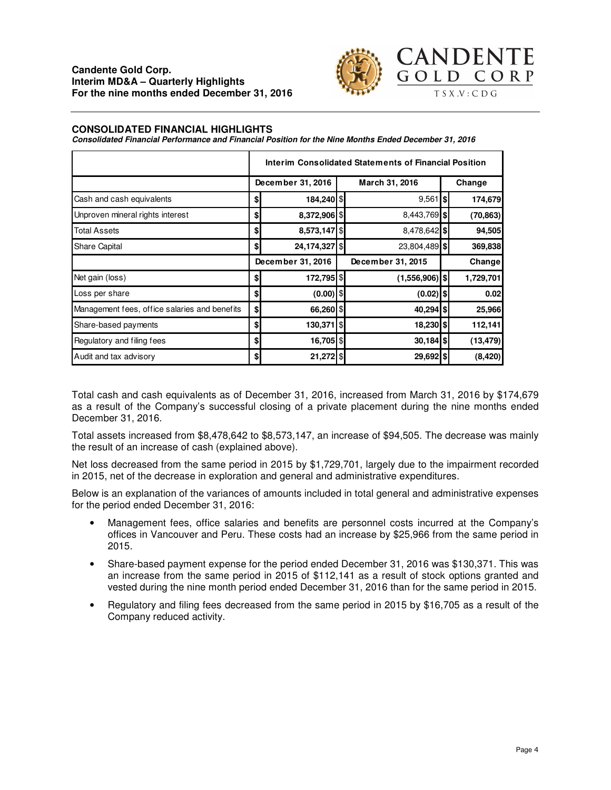

#### **CONSOLIDATED FINANCIAL HIGHLIGHTS**

**Consolidated Financial Performance and Financial Position for the Nine Months Ended December 31, 2016** 

|                                               | Interim Consolidated Statements of Financial Position |               |  |                   |  |           |  |
|-----------------------------------------------|-------------------------------------------------------|---------------|--|-------------------|--|-----------|--|
|                                               | December 31, 2016                                     |               |  | March 31, 2016    |  | Change    |  |
| Cash and cash equivalents                     | \$                                                    | 184,240 \$    |  | $9,561$ \$        |  | 174,679   |  |
| Unproven mineral rights interest              | \$                                                    | 8,372,906 \$  |  | 8,443,769 \$      |  | (70, 863) |  |
| <b>Total Assets</b>                           | \$                                                    | 8,573,147     |  | $8,478,642$ \$    |  | 94,505    |  |
| Share Capital                                 | \$                                                    | 24,174,327 \$ |  | 23,804,489 \$     |  | 369,838   |  |
|                                               | December 31, 2016                                     |               |  | December 31, 2015 |  | Change    |  |
| Net gain (loss)                               | \$                                                    | 172,795   \$  |  | $(1,556,906)$ \$  |  | 1,729,701 |  |
| Loss per share                                | \$                                                    | $(0.00)$ \$   |  | $(0.02)$ \$       |  | 0.02      |  |
| Management fees, office salaries and benefits | \$                                                    | 66,260 \$     |  | 40,294 \$         |  | 25,966    |  |
| Share-based payments                          | \$                                                    | 130,371 \$    |  | 18,230 \$         |  | 112,141   |  |
| Regulatory and filing fees                    | \$                                                    | 16,705 \$     |  | $30,184$ \$       |  | (13, 479) |  |
| Audit and tax advisory                        | \$                                                    | 21,272 \$     |  | 29,692 \$         |  | (8, 420)  |  |

Total cash and cash equivalents as of December 31, 2016, increased from March 31, 2016 by \$174,679 as a result of the Company's successful closing of a private placement during the nine months ended December 31, 2016.

Total assets increased from \$8,478,642 to \$8,573,147, an increase of \$94,505. The decrease was mainly the result of an increase of cash (explained above).

Net loss decreased from the same period in 2015 by \$1,729,701, largely due to the impairment recorded in 2015, net of the decrease in exploration and general and administrative expenditures.

Below is an explanation of the variances of amounts included in total general and administrative expenses for the period ended December 31, 2016:

- Management fees, office salaries and benefits are personnel costs incurred at the Company's offices in Vancouver and Peru. These costs had an increase by \$25,966 from the same period in 2015.
- Share-based payment expense for the period ended December 31, 2016 was \$130,371. This was an increase from the same period in 2015 of \$112,141 as a result of stock options granted and vested during the nine month period ended December 31, 2016 than for the same period in 2015.
- Regulatory and filing fees decreased from the same period in 2015 by \$16,705 as a result of the Company reduced activity.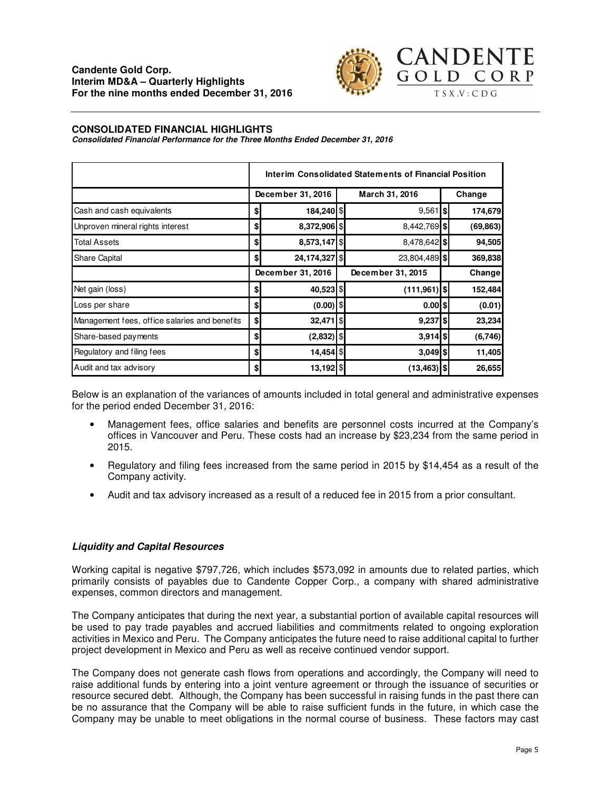

#### **CONSOLIDATED FINANCIAL HIGHLIGHTS**

**Consolidated Financial Performance for the Three Months Ended December 31, 2016** 

|                                               | Interim Consolidated Statements of Financial Position |                 |  |                   |  |           |  |
|-----------------------------------------------|-------------------------------------------------------|-----------------|--|-------------------|--|-----------|--|
|                                               | December 31, 2016                                     |                 |  | March 31, 2016    |  | Change    |  |
| Cash and cash equivalents                     | \$                                                    | 184,240 \$      |  | $9,561$ \$        |  | 174,679   |  |
| Unproven mineral rights interest              | \$                                                    | 8,372,906 \$    |  | 8,442,769 \$      |  | (69, 863) |  |
| <b>Total Assets</b>                           | \$                                                    | 8,573,147 \$    |  | 8,478,642 \$      |  | 94,505    |  |
| Share Capital                                 | \$                                                    | 24,174,327   \$ |  | 23,804,489 \$     |  | 369,838   |  |
|                                               | December 31, 2016                                     |                 |  | December 31, 2015 |  | Change    |  |
| Net gain (loss)                               | \$                                                    | 40,523 \$       |  | $(111, 961)$ \$   |  | 152,484   |  |
| Loss per share                                | \$                                                    | $(0.00)$ \$     |  | $0.00$ \$         |  | (0.01)    |  |
| Management fees, office salaries and benefits | \$                                                    | 32,471 \$       |  | $9,237$ \$        |  | 23,234    |  |
| Share-based payments                          | \$                                                    | $(2,832)$ \$    |  | $3,914$ \$        |  | (6,746)   |  |
| Regulatory and filing fees                    | \$                                                    | 14,454 \$       |  | $3,049$ \$        |  | 11,405    |  |
| Audit and tax advisory                        | \$                                                    | 13,192 \$       |  | $(13, 463)$ \$    |  | 26,655    |  |

Below is an explanation of the variances of amounts included in total general and administrative expenses for the period ended December 31, 2016:

- Management fees, office salaries and benefits are personnel costs incurred at the Company's offices in Vancouver and Peru. These costs had an increase by \$23,234 from the same period in 2015.
- Regulatory and filing fees increased from the same period in 2015 by \$14,454 as a result of the Company activity.
- Audit and tax advisory increased as a result of a reduced fee in 2015 from a prior consultant.

### **Liquidity and Capital Resources**

Working capital is negative \$797,726, which includes \$573,092 in amounts due to related parties, which primarily consists of payables due to Candente Copper Corp., a company with shared administrative expenses, common directors and management.

The Company anticipates that during the next year, a substantial portion of available capital resources will be used to pay trade payables and accrued liabilities and commitments related to ongoing exploration activities in Mexico and Peru. The Company anticipates the future need to raise additional capital to further project development in Mexico and Peru as well as receive continued vendor support.

The Company does not generate cash flows from operations and accordingly, the Company will need to raise additional funds by entering into a joint venture agreement or through the issuance of securities or resource secured debt. Although, the Company has been successful in raising funds in the past there can be no assurance that the Company will be able to raise sufficient funds in the future, in which case the Company may be unable to meet obligations in the normal course of business. These factors may cast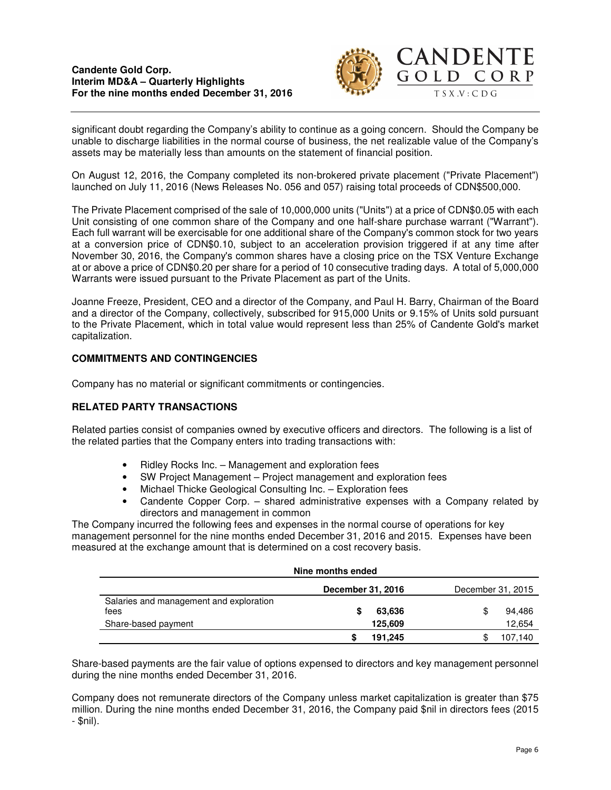### **Candente Gold Corp. Interim MD&A – Quarterly Highlights For the nine months ended December 31, 2016**



significant doubt regarding the Company's ability to continue as a going concern. Should the Company be unable to discharge liabilities in the normal course of business, the net realizable value of the Company's assets may be materially less than amounts on the statement of financial position.

On August 12, 2016, the Company completed its non-brokered private placement ("Private Placement") launched on July 11, 2016 (News Releases No. 056 and 057) raising total proceeds of CDN\$500,000.

The Private Placement comprised of the sale of 10,000,000 units ("Units") at a price of CDN\$0.05 with each Unit consisting of one common share of the Company and one half-share purchase warrant ("Warrant"). Each full warrant will be exercisable for one additional share of the Company's common stock for two years at a conversion price of CDN\$0.10, subject to an acceleration provision triggered if at any time after November 30, 2016, the Company's common shares have a closing price on the TSX Venture Exchange at or above a price of CDN\$0.20 per share for a period of 10 consecutive trading days. A total of 5,000,000 Warrants were issued pursuant to the Private Placement as part of the Units.

Joanne Freeze, President, CEO and a director of the Company, and Paul H. Barry, Chairman of the Board and a director of the Company, collectively, subscribed for 915,000 Units or 9.15% of Units sold pursuant to the Private Placement, which in total value would represent less than 25% of Candente Gold's market capitalization.

# **COMMITMENTS AND CONTINGENCIES**

Company has no material or significant commitments or contingencies.

# **RELATED PARTY TRANSACTIONS**

Related parties consist of companies owned by executive officers and directors. The following is a list of the related parties that the Company enters into trading transactions with:

- Ridley Rocks Inc. Management and exploration fees
- SW Project Management Project management and exploration fees
- Michael Thicke Geological Consulting Inc. Exploration fees
- Candente Copper Corp. shared administrative expenses with a Company related by directors and management in common

The Company incurred the following fees and expenses in the normal course of operations for key management personnel for the nine months ended December 31, 2016 and 2015. Expenses have been measured at the exchange amount that is determined on a cost recovery basis.

| Nine months ended                       |                   |                   |  |  |  |  |
|-----------------------------------------|-------------------|-------------------|--|--|--|--|
|                                         | December 31, 2016 | December 31, 2015 |  |  |  |  |
| Salaries and management and exploration |                   |                   |  |  |  |  |
| fees                                    | 63,636<br>S       | 94.486<br>\$      |  |  |  |  |
| Share-based payment                     | 125,609           | 12,654            |  |  |  |  |
|                                         | 191.245           | 107.140           |  |  |  |  |

Share-based payments are the fair value of options expensed to directors and key management personnel during the nine months ended December 31, 2016.

Company does not remunerate directors of the Company unless market capitalization is greater than \$75 million. During the nine months ended December 31, 2016, the Company paid \$nil in directors fees (2015 - \$nil).